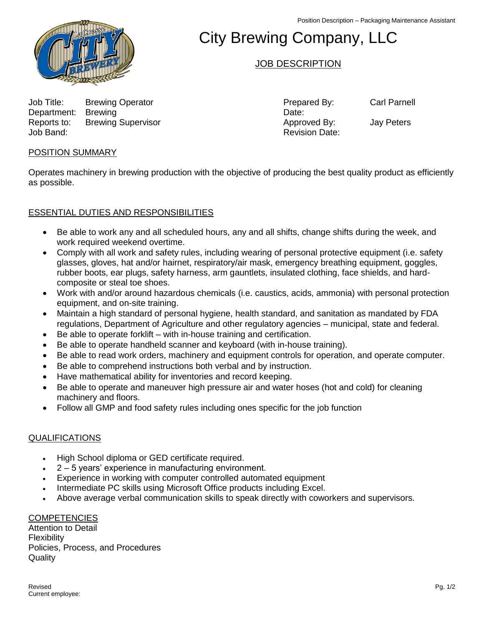Position Description – Packaging Maintenance Assistant



# City Brewing Company, LLC

## JOB DESCRIPTION

Job Title: Brewing Operator Prepared By: Carl Parnell Department: Brewing Date: Department: Brewing Reports to: Brewing Supervisor **Approved By:** Jay Peters Job Band: Revision Date:

## POSITION SUMMARY

Operates machinery in brewing production with the objective of producing the best quality product as efficiently as possible.

## ESSENTIAL DUTIES AND RESPONSIBILITIES

- Be able to work any and all scheduled hours, any and all shifts, change shifts during the week, and work required weekend overtime.
- Comply with all work and safety rules, including wearing of personal protective equipment (i.e. safety glasses, gloves, hat and/or hairnet, respiratory/air mask, emergency breathing equipment, goggles, rubber boots, ear plugs, safety harness, arm gauntlets, insulated clothing, face shields, and hardcomposite or steal toe shoes.
- Work with and/or around hazardous chemicals (i.e. caustics, acids, ammonia) with personal protection equipment, and on-site training.
- Maintain a high standard of personal hygiene, health standard, and sanitation as mandated by FDA regulations, Department of Agriculture and other regulatory agencies – municipal, state and federal.
- Be able to operate forklift with in-house training and certification.
- Be able to operate handheld scanner and keyboard (with in-house training).
- Be able to read work orders, machinery and equipment controls for operation, and operate computer.
- Be able to comprehend instructions both verbal and by instruction.
- Have mathematical ability for inventories and record keeping.
- Be able to operate and maneuver high pressure air and water hoses (hot and cold) for cleaning machinery and floors.
- Follow all GMP and food safety rules including ones specific for the job function

### QUALIFICATIONS

- High School diploma or GED certificate required.
- 2 5 years' experience in manufacturing environment.
- Experience in working with computer controlled automated equipment
- Intermediate PC skills using Microsoft Office products including Excel.
- Above average verbal communication skills to speak directly with coworkers and supervisors.

### **COMPETENCIES**

Attention to Detail **Flexibility** Policies, Process, and Procedures **Quality**